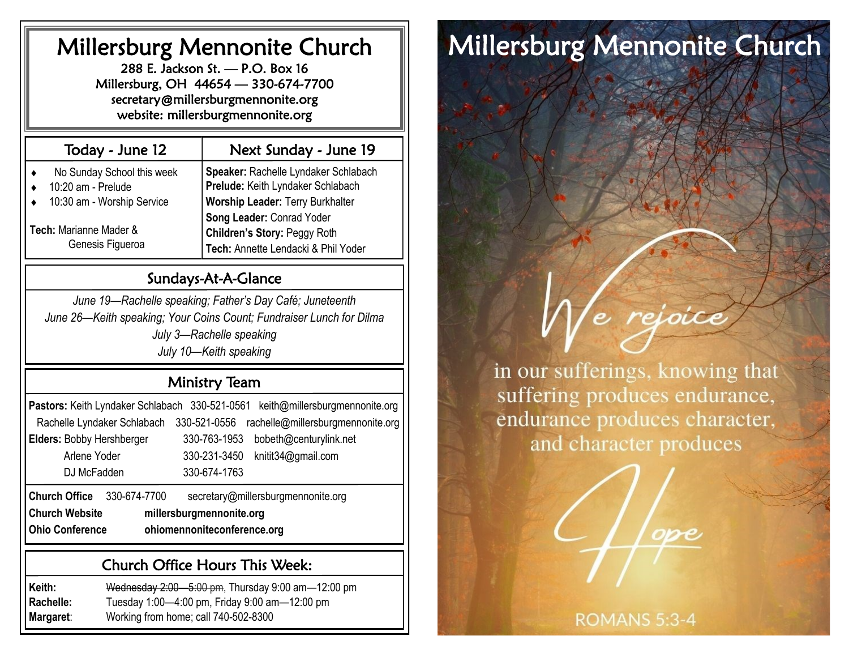# Millersburg Mennonite Church

288 E. Jackson St. — P.O. Box 16 Millersburg, OH 44654 — 330-674-7700 secretary@millersburgmennonite.org website: millersburgmennonite.org

| Today - June 12                                               | Next Sunday - June 19                                                                            |
|---------------------------------------------------------------|--------------------------------------------------------------------------------------------------|
| No Sunday School this week<br>$\bullet$<br>10:20 am - Prelude | Speaker: Rachelle Lyndaker Schlabach<br>Prelude: Keith Lyndaker Schlabach                        |
| 10:30 am - Worship Service                                    | Worship Leader: Terry Burkhalter                                                                 |
| Tech: Marianne Mader &<br>Genesis Figueroa                    | Song Leader: Conrad Yoder<br>Children's Story: Peggy Roth<br>Tech: Annette Lendacki & Phil Yoder |

### Sundays-At-A-Glance

*June 19—Rachelle speaking; Father's Day Café; Juneteenth June 26—Keith speaking; Your Coins Count; Fundraiser Lunch for Dilma July 3—Rachelle speaking July 10—Keith speaking*

## Ministry Team

| Pastors: Keith Lyndaker Schlabach 330-521-0561        | keith@millersburgmennonite.org                    |  |  |  |
|-------------------------------------------------------|---------------------------------------------------|--|--|--|
| Rachelle Lyndaker Schlabach                           | rachelle@millersburgmennonite.org<br>330-521-0556 |  |  |  |
| Elders: Bobby Hershberger                             | 330-763-1953<br>bobeth@centurylink.net            |  |  |  |
| Arlene Yoder                                          | 330-231-3450<br>knitit34@gmail.com                |  |  |  |
| DJ McFadden                                           | 330-674-1763                                      |  |  |  |
| <b>Church Office</b><br>330-674-7700                  | secretary@millersburgmennonite.org                |  |  |  |
| <b>Church Website</b><br>millersburgmennonite.org     |                                                   |  |  |  |
| <b>Ohio Conference</b><br>ohiomennoniteconference.org |                                                   |  |  |  |

### Church Office Hours This Week:

**Keith:** Wednesday 2:00—5:00 pm, Thursday 9:00 am—12:00 pm **Rachelle:** Tuesday 1:00—4:00 pm, Friday 9:00 am—12:00 pm **Margaret**: Working from home; call 740-502-8300

# Millersburg Mennonite Church



in our sufferings, knowing that suffering produces endurance, endurance produces character, and character produces

**ROMANS 5:3-4**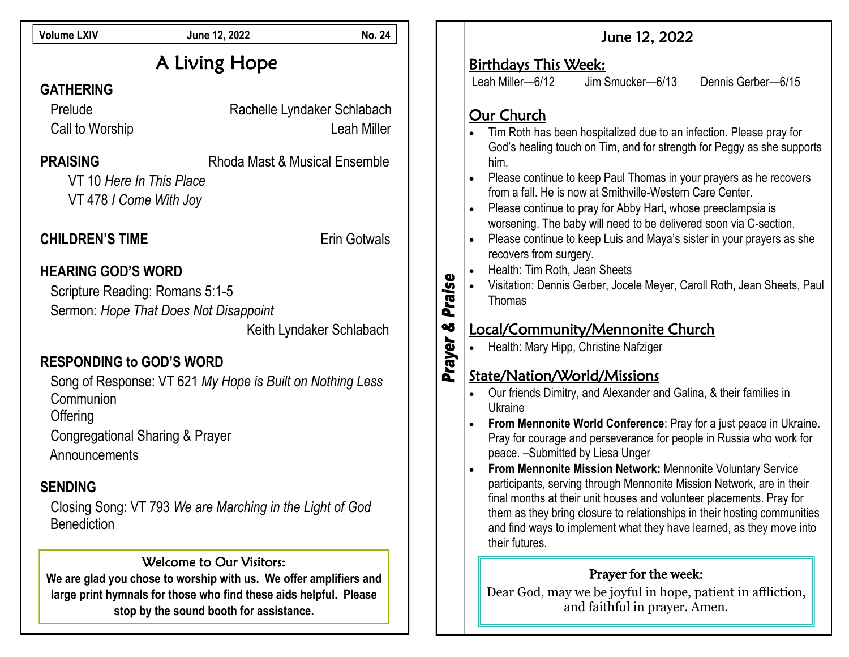| <b>Volume LXIV</b>                                                                                                      | June 12, 2022                                                                                                                                                                                                 | <b>No. 24</b>                                     |             | June 12, 2022                                                                                                                                                                                                                                                                                                                                                                      |
|-------------------------------------------------------------------------------------------------------------------------|---------------------------------------------------------------------------------------------------------------------------------------------------------------------------------------------------------------|---------------------------------------------------|-------------|------------------------------------------------------------------------------------------------------------------------------------------------------------------------------------------------------------------------------------------------------------------------------------------------------------------------------------------------------------------------------------|
| A Living Hope                                                                                                           |                                                                                                                                                                                                               |                                                   |             | <b>Birthdays This Week:</b><br>Leah Miller-6/12<br>Jim Smucker-6/13<br>Dennis Gerber-6/15                                                                                                                                                                                                                                                                                          |
| <b>GATHERING</b><br>Prelude<br>Call to Worship                                                                          |                                                                                                                                                                                                               | Rachelle Lyndaker Schlabach<br><b>Leah Miller</b> |             | Our Church<br>Tim Roth has been hospitalized due to an infection. Please pray for<br>God's healing touch on Tim, and for strength for Peggy as she supports                                                                                                                                                                                                                        |
| <b>PRAISING</b><br>VT 10 Here In This Place<br>VT 478 I Come With Joy                                                   | Rhoda Mast & Musical Ensemble                                                                                                                                                                                 |                                                   |             | him.<br>Please continue to keep Paul Thomas in your prayers as he recovers<br>from a fall. He is now at Smithville-Western Care Center.<br>Please continue to pray for Abby Hart, whose preeclampsia is<br>worsening. The baby will need to be delivered soon via C-section.                                                                                                       |
| <b>CHILDREN'S TIME</b>                                                                                                  |                                                                                                                                                                                                               | <b>Erin Gotwals</b>                               |             | Please continue to keep Luis and Maya's sister in your prayers as she<br>recovers from surgery.                                                                                                                                                                                                                                                                                    |
| <b>HEARING GOD'S WORD</b><br>Scripture Reading: Romans 5:1-5                                                            | Sermon: Hope That Does Not Disappoint                                                                                                                                                                         | Keith Lyndaker Schlabach                          | Praise<br>œ | Health: Tim Roth, Jean Sheets<br>Visitation: Dennis Gerber, Jocele Meyer, Caroll Roth, Jean Sheets, Paul<br>Thomas<br>Local/Community/Mennonite Church<br>Health: Mary Hipp, Christine Nafziger                                                                                                                                                                                    |
| <b>RESPONDING to GOD'S WORD</b><br>Communion<br>Offering<br><b>Congregational Sharing &amp; Prayer</b><br>Announcements | Song of Response: VT 621 My Hope is Built on Nothing Less                                                                                                                                                     |                                                   | Prayer      | State/Nation/World/Missions<br>Our friends Dimitry, and Alexander and Galina, & their families in<br>Ukraine<br>From Mennonite World Conference: Pray for a just peace in Ukraine.<br>Pray for courage and perseverance for people in Russia who work for<br>peace. - Submitted by Liesa Unger                                                                                     |
| <b>SENDING</b><br><b>Benediction</b>                                                                                    | Closing Song: VT 793 We are Marching in the Light of God                                                                                                                                                      |                                                   |             | From Mennonite Mission Network: Mennonite Voluntary Service<br>participants, serving through Mennonite Mission Network, are in their<br>final months at their unit houses and volunteer placements. Pray for<br>them as they bring closure to relationships in their hosting communities<br>and find ways to implement what they have learned, as they move into<br>their futures. |
|                                                                                                                         | Welcome to Our Visitors:<br>We are glad you chose to worship with us. We offer amplifiers and<br>large print hymnals for those who find these aids helpful. Please<br>stop by the sound booth for assistance. |                                                   |             | Prayer for the week:<br>Dear God, may we be joyful in hope, patient in affliction,<br>and faithful in prayer. Amen.                                                                                                                                                                                                                                                                |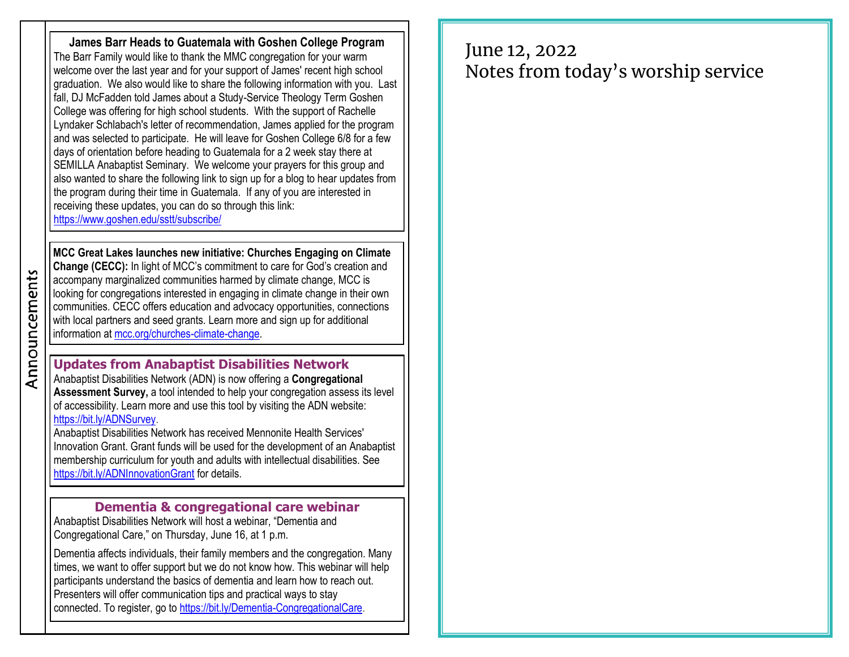**James Barr Heads to Guatemala with Goshen College Program** The Barr Family would like to thank the MMC congregation for your warm welcome over the last year and for your support of James' recent high school graduation. We also would like to share the following information with you. Last fall, DJ McFadden told James about a Study-Service Theology Term Goshen College was offering for high school students. With the support of Rachelle Lyndaker Schlabach's letter of recommendation, James applied for the program and was selected to participate. He will leave for Goshen College 6/8 for a few days of orientation before heading to Guatemala for a 2 week stay there at SEMILLA Anabaptist Seminary. We welcome your prayers for this group and also wanted to share the following link to sign up for a blog to hear updates from the program during their time in Guatemala. If any of you are interested in receiving these updates, you can do so through this link: <https://www.goshen.edu/sstt/subscribe/>

**MCC Great Lakes launches new initiative: Churches Engaging on Climate Change (CECC):** In light of MCC's commitment to care for God's creation and accompany marginalized communities harmed by climate change, MCC is looking for congregations interested in engaging in climate change in their own communities. CECC offers education and advocacy opportunities, connections with local partners and seed grants. Learn more and sign up for additional information at [mcc.org/churches-climate-change.](https://mcc.org/stories/churches-engaging-climate-change-congregaciones-envueltas)

**Updates from Anabaptist Disabilities Network**  Anabaptist Disabilities Network (ADN) is now offering a **Congregational Assessment Survey,** a tool intended to help your congregation assess its level of accessibility. Learn more and use this tool by visiting the ADN website: [https://bit.ly/ADNSurvey.](https://bit.ly/ADNSurvey)

Anabaptist Disabilities Network has received Mennonite Health Services' Innovation Grant. Grant funds will be used for the development of an Anabaptist membership curriculum for youth and adults with intellectual disabilities. See <https://bit.ly/ADNInnovationGrant> for details.

#### **Dementia & congregational care webinar**

Anabaptist Disabilities Network will host a webinar, "Dementia and Congregational Care," on Thursday, June 16, at 1 p.m.

Dementia affects individuals, their family members and the congregation. Many times, we want to offer support but we do not know how. This webinar will help participants understand the basics of dementia and learn how to reach out. Presenters will offer communication tips and practical ways to stay connected. To register, go to [https://bit.ly/Dementia-CongregationalCare.](https://bit.ly/Dementia-CongregationalCare)

# June 12, 2022 Notes from today's worship service